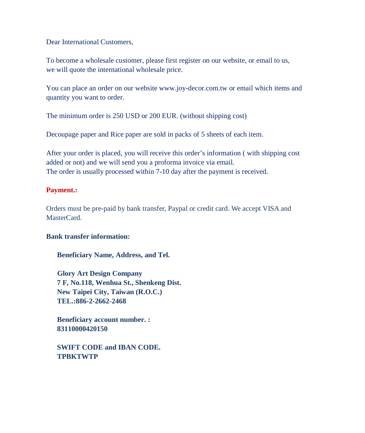Dear International Customers,

To become a wholesale customer, please first register on our website, or email to us, we will quote the international wholesale price.

You can place an order on our website www.joy-decor.com.tw or email which items and quantity you want to order.

The minimum order is 250 USD or 200 EUR. (without shipping cost)

Decoupage paper and Rice paper are sold in packs of 5 sheets of each item.

After your order is placed, you will receive this order's information ( with shipping cost added or not) and we will send you a proforma invoice via email. The order is usually processed within 7-10 day after the payment is received.

## **Payment.:**

Orders must be pre-paid by bank transfer, Paypal or credit card. We accept VISA and MasterCard.

## **Bank transfer information:**

 **Beneficiary Name, Address, and Tel.**

**Glory Art Design Company 7 F, No.118, Wenhua St., Shenkeng Dist. New Taipei City, Taiwan (R.O.C.) TEL.:886-2-2662-2468**

**Beneficiary account number. : 83110000420150**

**SWIFT CODE and IBAN CODE. TPBKTWTP**